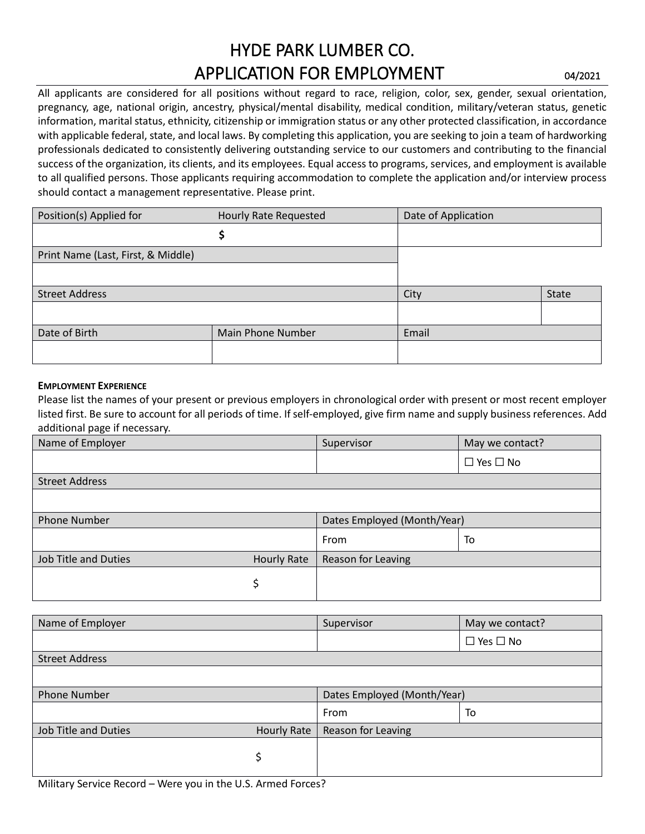# HYDE PARK LUMBER CO. APPLICATION FOR EMPLOYMENT **DANS** 04/2021

All applicants are considered for all positions without regard to race, religion, color, sex, gender, sexual orientation, pregnancy, age, national origin, ancestry, physical/mental disability, medical condition, military/veteran status, genetic information, marital status, ethnicity, citizenship or immigration status or any other protected classification, in accordance with applicable federal, state, and local laws. By completing this application, you are seeking to join a team of hardworking professionals dedicated to consistently delivering outstanding service to our customers and contributing to the financial success of the organization, its clients, and its employees. Equal access to programs, services, and employment is available to all qualified persons. Those applicants requiring accommodation to complete the application and/or interview process should contact a management representative. Please print.

| Position(s) Applied for            | Hourly Rate Requested | Date of Application |              |
|------------------------------------|-----------------------|---------------------|--------------|
|                                    |                       |                     |              |
| Print Name (Last, First, & Middle) |                       |                     |              |
|                                    |                       |                     |              |
| <b>Street Address</b>              |                       | City                | <b>State</b> |
|                                    |                       |                     |              |
| Date of Birth<br>Main Phone Number |                       | Email               |              |
|                                    |                       |                     |              |

#### **EMPLOYMENT EXPERIENCE**

Please list the names of your present or previous employers in chronological order with present or most recent employer listed first. Be sure to account for all periods of time. If self-employed, give firm name and supply business references. Add additional page if necessary.

|                                                   | Supervisor                  | May we contact?      |  |
|---------------------------------------------------|-----------------------------|----------------------|--|
|                                                   |                             | $\Box$ Yes $\Box$ No |  |
|                                                   |                             |                      |  |
|                                                   |                             |                      |  |
|                                                   | Dates Employed (Month/Year) |                      |  |
|                                                   | From                        | To                   |  |
| <b>Hourly Rate</b>                                | Reason for Leaving          |                      |  |
| \$                                                |                             |                      |  |
|                                                   |                             |                      |  |
|                                                   | Supervisor                  | May we contact?      |  |
|                                                   |                             | $\Box$ Yes $\Box$ No |  |
|                                                   |                             |                      |  |
|                                                   |                             |                      |  |
|                                                   | Dates Employed (Month/Year) |                      |  |
|                                                   | From                        | To                   |  |
| <b>Job Title and Duties</b><br><b>Hourly Rate</b> |                             | Reason for Leaving   |  |
| \$                                                |                             |                      |  |
|                                                   |                             |                      |  |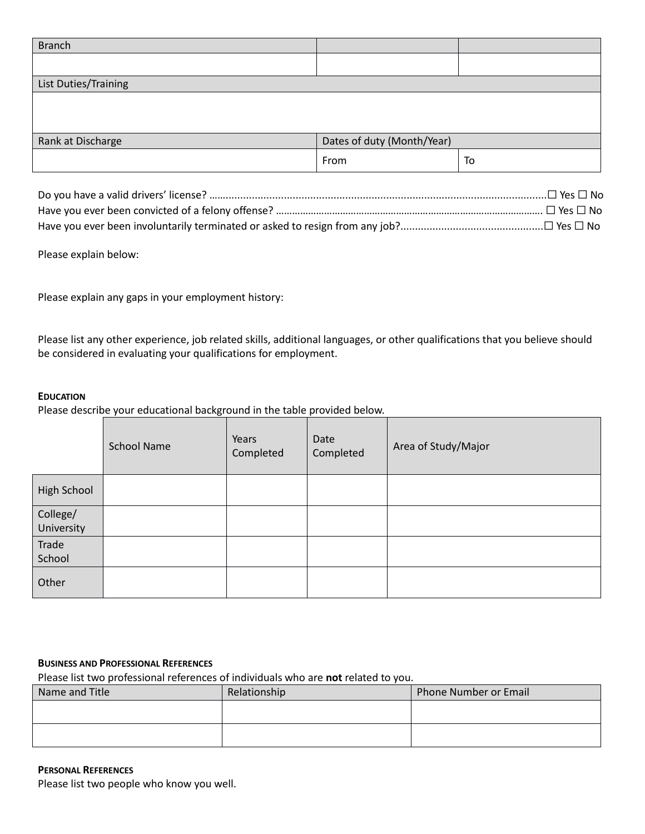| <b>Branch</b>        |                            |    |
|----------------------|----------------------------|----|
|                      |                            |    |
| List Duties/Training |                            |    |
|                      |                            |    |
|                      |                            |    |
|                      |                            |    |
| Rank at Discharge    | Dates of duty (Month/Year) |    |
|                      | From                       | To |
|                      |                            |    |

Please explain below:

Please explain any gaps in your employment history:

Please list any other experience, job related skills, additional languages, or other qualifications that you believe should be considered in evaluating your qualifications for employment.

### **EDUCATION**

Please describe your educational background in the table provided below.

|                        | <b>School Name</b> | Years<br>Completed | Date<br>Completed | Area of Study/Major |
|------------------------|--------------------|--------------------|-------------------|---------------------|
| <b>High School</b>     |                    |                    |                   |                     |
| College/<br>University |                    |                    |                   |                     |
| Trade<br>School        |                    |                    |                   |                     |
| Other                  |                    |                    |                   |                     |

#### **BUSINESS AND PROFESSIONAL REFERENCES**

Please list two professional references of individuals who are **not** related to you.

| Name and Title | Relationship | <b>Phone Number or Email</b> |
|----------------|--------------|------------------------------|
|                |              |                              |
|                |              |                              |
|                |              |                              |

#### **PERSONAL REFERENCES**

Please list two people who know you well.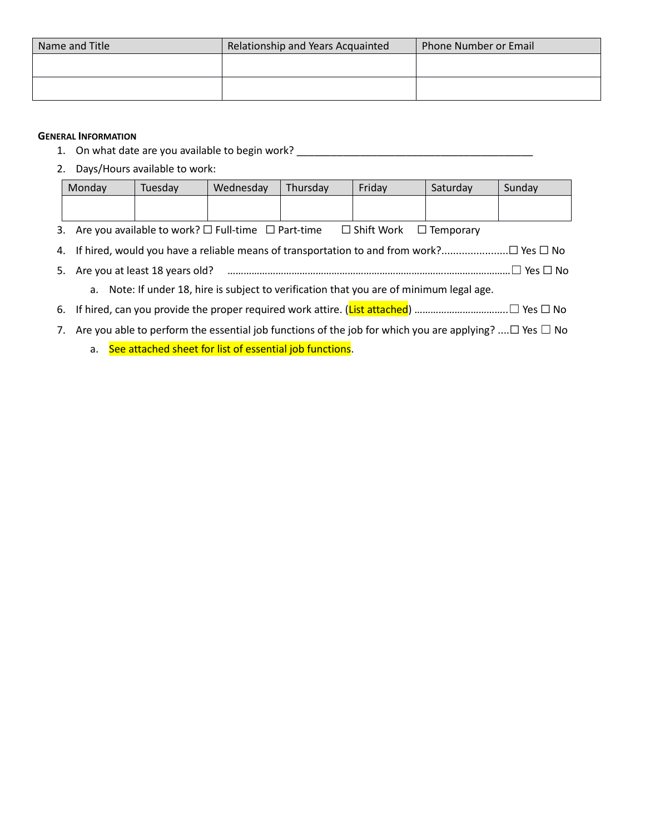| Name and Title | Relationship and Years Acquainted | Phone Number or Email |  |
|----------------|-----------------------------------|-----------------------|--|
|                |                                   |                       |  |
|                |                                   |                       |  |
|                |                                   |                       |  |

#### **GENERAL INFORMATION**

- 1. On what date are you available to begin work? \_\_\_\_\_\_\_\_\_\_\_\_\_\_\_\_\_\_\_\_\_\_\_\_\_\_\_\_\_\_\_\_\_\_\_\_\_\_\_\_\_
- 2. Days/Hours available to work:

| Monday                                                                                   | Tuesday                                                               | Wednesday | Thursday | Friday                             | Saturday | Sunday |
|------------------------------------------------------------------------------------------|-----------------------------------------------------------------------|-----------|----------|------------------------------------|----------|--------|
|                                                                                          |                                                                       |           |          |                                    |          |        |
|                                                                                          | 3. Are you available to work? $\square$ Full-time $\square$ Part-time |           |          | $\Box$ Shift Work $\Box$ Temporary |          |        |
|                                                                                          |                                                                       |           |          |                                    |          |        |
| $\Box$ Yes $\Box$ No<br>5. Are you at least 18 years old?                                |                                                                       |           |          |                                    |          |        |
| a. Note: If under 18, hire is subject to verification that you are of minimum legal age. |                                                                       |           |          |                                    |          |        |
|                                                                                          |                                                                       |           |          |                                    |          |        |

- 7. Are you able to perform the essential job functions of the job for which you are applying? .... $\Box$  Yes  $\Box$  No
	- a. See attached sheet for list of essential job functions.